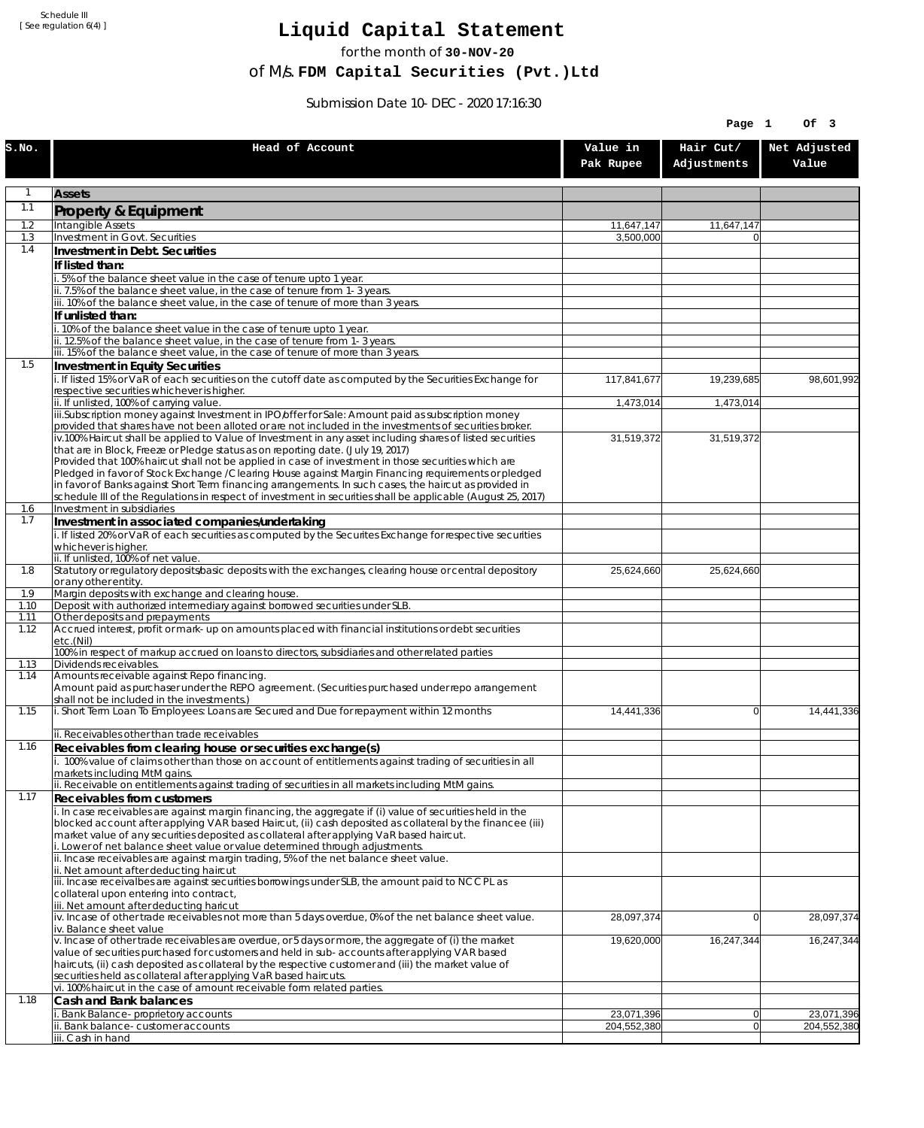Schedule III [ See regulation 6(4) ]

## **Liquid Capital Statement**

for the month of **30-NOV-20**

of M/s. **FDM Capital Securities (Pvt.)Ltd**

Submission Date 10-DEC-2020 17:16:30

|              |                                                                                                                                                                                                                        |                       | Page 1                   | Of 3                  |
|--------------|------------------------------------------------------------------------------------------------------------------------------------------------------------------------------------------------------------------------|-----------------------|--------------------------|-----------------------|
| S.NO.        | Head of Account                                                                                                                                                                                                        | Value in<br>Pak Rupee | Hair Cut/<br>Adjustments | Net Adjusted<br>Value |
| 1            | <b>Assets</b>                                                                                                                                                                                                          |                       |                          |                       |
| 1.1          | Property & Equipment                                                                                                                                                                                                   |                       |                          |                       |
| 1.2          | Intangible Assets                                                                                                                                                                                                      | 11,647,147            | 11,647,147               |                       |
| 1.3<br>1.4   | Investment in Govt. Securities<br>Investment in Debt. Securities                                                                                                                                                       | 3,500,000             |                          |                       |
|              | If listed than:                                                                                                                                                                                                        |                       |                          |                       |
|              | i. 5% of the balance sheet value in the case of tenure upto 1 year.                                                                                                                                                    |                       |                          |                       |
|              | ii. 7.5% of the balance sheet value, in the case of tenure from 1-3 years.                                                                                                                                             |                       |                          |                       |
|              | iii. 10% of the balance sheet value, in the case of tenure of more than 3 years.<br>If unlisted than:                                                                                                                  |                       |                          |                       |
|              | i. 10% of the balance sheet value in the case of tenure upto 1 year.                                                                                                                                                   |                       |                          |                       |
|              | ii. 12.5% of the balance sheet value, in the case of tenure from 1-3 years.<br>iii. 15% of the balance sheet value, in the case of tenure of more than 3 years.                                                        |                       |                          |                       |
| 1.5          | Investment in Equity Securities                                                                                                                                                                                        |                       |                          |                       |
|              | i. If listed 15% or VaR of each securities on the cutoff date as computed by the Securities Exchange for                                                                                                               | 117,841,677           | 19,239,685               | 98,601,992            |
|              | respective securities whichever is higher.                                                                                                                                                                             |                       |                          |                       |
|              | ii. If unlisted, 100% of carrying value.<br>iii.Subscription money against Investment in IPO/offer for Sale: Amount paid as subscription money                                                                         | 1,473,014             | 1,473,014                |                       |
|              | provided that shares have not been alloted or are not included in the investments of securities broker.                                                                                                                |                       |                          |                       |
|              | iv.100% Haircut shall be applied to Value of Investment in any asset including shares of listed securities<br>that are in Block, Freeze or Pledge status as on reporting date. (July 19, 2017)                         | 31,519,372            | 31,519,372               |                       |
|              | Provided that 100% haircut shall not be applied in case of investment in those securities which are                                                                                                                    |                       |                          |                       |
|              | Pledged in favor of Stock Exchange / Clearing House against Margin Financing requirements or pledged                                                                                                                   |                       |                          |                       |
|              | in favor of Banks against Short Term financing arrangements. In such cases, the haircut as provided in<br>schedule III of the Regulations in respect of investment in securities shall be applicable (August 25, 2017) |                       |                          |                       |
| 1.6          | Investment in subsidiaries                                                                                                                                                                                             |                       |                          |                       |
| 1.7          | Investment in associated companies/undertaking                                                                                                                                                                         |                       |                          |                       |
|              | i. If listed 20% or VaR of each securities as computed by the Securites Exchange for respective securities<br>whichever is higher.                                                                                     |                       |                          |                       |
|              | ii. If unlisted, 100% of net value.                                                                                                                                                                                    |                       |                          |                       |
| 1.8          | Statutory or regulatory deposits/basic deposits with the exchanges, clearing house or central depository                                                                                                               | 25,624,660            | 25,624,660               |                       |
| 1.9          | or any other entity.<br>Margin deposits with exchange and clearing house.                                                                                                                                              |                       |                          |                       |
| 1.10         | Deposit with authorized intermediary against borrowed securities under SLB.                                                                                                                                            |                       |                          |                       |
| 1.11<br>1.12 | Other deposits and prepayments<br>Accrued interest, profit or mark-up on amounts placed with financial institutions or debt securities                                                                                 |                       |                          |                       |
|              | etc.(Nil)                                                                                                                                                                                                              |                       |                          |                       |
| 1.13         | 100% in respect of markup accrued on loans to directors, subsidiaries and other related parties<br>Dividends receivables.                                                                                              |                       |                          |                       |
| 1.14         | Amounts receivable against Repo financing.                                                                                                                                                                             |                       |                          |                       |
|              | Amount paid as purchaser under the REPO agreement. (Securities purchased under repo arrangement                                                                                                                        |                       |                          |                       |
| 1.15         | shall not be included in the investments.)<br>i. Short Term Loan To Employees: Loans are Secured and Due for repayment within 12 months                                                                                | 14,441,336            | $\overline{0}$           | 14,441,336            |
|              |                                                                                                                                                                                                                        |                       |                          |                       |
| 1.16         | ii. Receivables other than trade receivables<br>Receivables from clearing house or securities exchange(s)                                                                                                              |                       |                          |                       |
|              | i. 100% value of claims other than those on account of entitlements against trading of securities in all                                                                                                               |                       |                          |                       |
|              | markets including MtM gains.                                                                                                                                                                                           |                       |                          |                       |
| 1.17         | ii. Receivable on entitlements against trading of securities in all markets including MtM gains.<br><b>Receivables from customers</b>                                                                                  |                       |                          |                       |
|              | i. In case receivables are against margin financing, the aggregate if (i) value of securities held in the                                                                                                              |                       |                          |                       |
|              | blocked account after applying VAR based Haircut, (ii) cash deposited as collateral by the financee (iii)                                                                                                              |                       |                          |                       |
|              | market value of any securities deposited as collateral after applying VaR based haircut.<br>i. Lower of net balance sheet value or value determined through adjustments.                                               |                       |                          |                       |
|              | ii. Incase receivables are against margin trading, 5% of the net balance sheet value.                                                                                                                                  |                       |                          |                       |
|              | ii. Net amount after deducting haircut<br>iii. Incase receivalbes are against securities borrowings under SLB, the amount paid to NCCPL as                                                                             |                       |                          |                       |
|              | collateral upon entering into contract,                                                                                                                                                                                |                       |                          |                       |
|              | iii. Net amount after deducting haricut                                                                                                                                                                                |                       |                          |                       |
|              | $iv.$ Incase of other trade receivables not more than 5 days overdue, 0% of the net balance sheet value.<br>iv. Balance sheet value                                                                                    | 28,097,374            | $\overline{0}$           | 28,097,374            |
|              | v. Incase of other trade receivables are overdue, or 5 days or more, the aggregate of (i) the market                                                                                                                   | 19,620,000            | 16,247,344               | 16,247,344            |
|              | value of securities purchased for customers and held in sub-accounts after applying VAR based<br>haircuts, (ii) cash deposited as collateral by the respective customer and (iii) the market value of                  |                       |                          |                       |
|              | securities held as collateral after applying VaR based haircuts.                                                                                                                                                       |                       |                          |                       |
|              | vi. 100% haircut in the case of amount receivable form related parties.                                                                                                                                                |                       |                          |                       |
| 1.18         | Cash and Bank balances<br>i. Bank Balance-proprietory accounts                                                                                                                                                         | 23,071,396            | 0                        | 23,071,396            |
|              | ii. Bank balance-customer accounts                                                                                                                                                                                     | 204,552,380           | 0                        | 204,552,380           |
|              | iii. Cash in hand                                                                                                                                                                                                      |                       |                          |                       |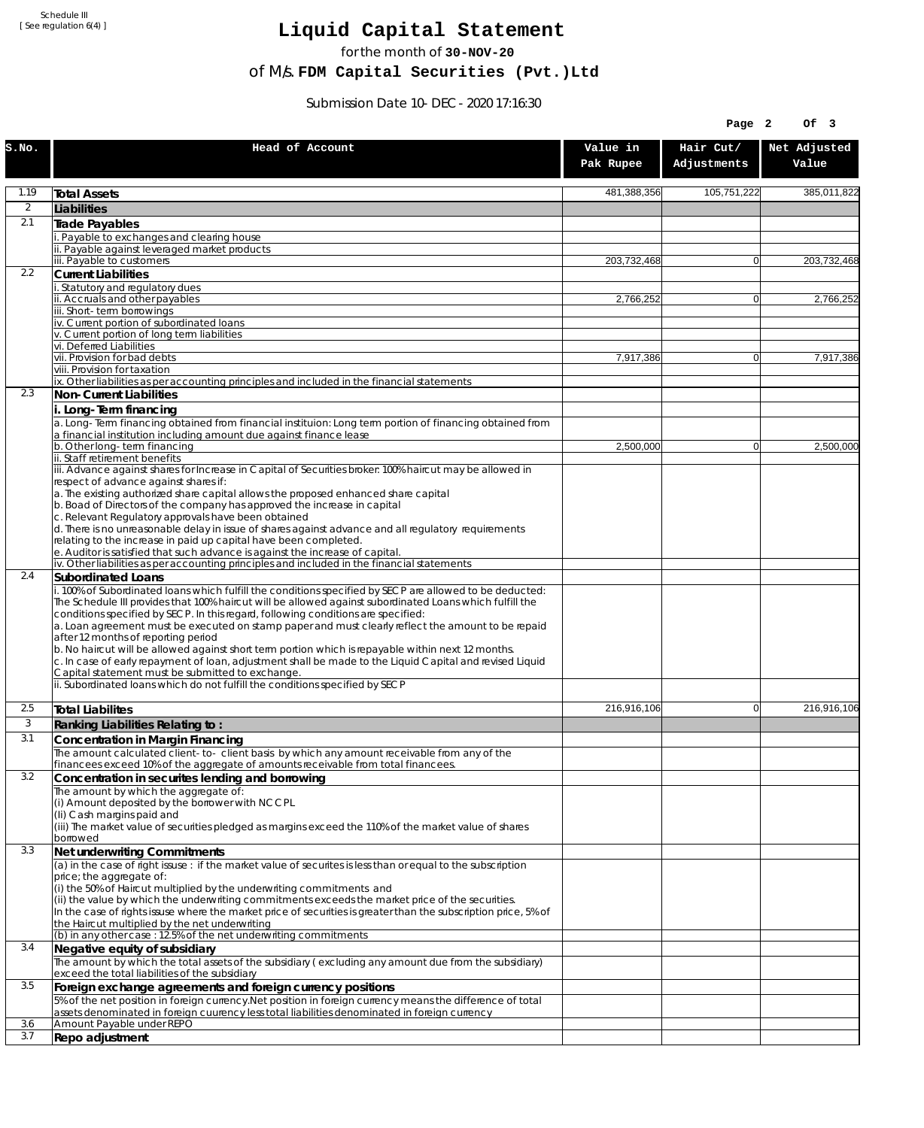Schedule III [ See regulation 6(4) ]

## **Liquid Capital Statement**

for the month of **30-NOV-20**

of M/s. **FDM Capital Securities (Pvt.)Ltd**

Submission Date 10-DEC-2020 17:16:30

|                |                                                                                                                                                                                         |                       | Page 2                   | Of 3                  |
|----------------|-----------------------------------------------------------------------------------------------------------------------------------------------------------------------------------------|-----------------------|--------------------------|-----------------------|
| S.NO.          | Head of Account                                                                                                                                                                         | Value in<br>Pak Rupee | Hair Cut/<br>Adjustments | Net Adjusted<br>Value |
| 1.19           | <b>Total Assets</b>                                                                                                                                                                     | 481,388,356           | 105,751,222              | 385,011,822           |
| $\overline{2}$ | Liabilities                                                                                                                                                                             |                       |                          |                       |
| 2.1            | Trade Payables                                                                                                                                                                          |                       |                          |                       |
|                | Payable to exchanges and clearing house<br>ii. Payable against leveraged market products                                                                                                |                       |                          |                       |
|                | iii. Payable to customers                                                                                                                                                               | 203,732,468           | $\mathbf{0}$             | 203,732,468           |
| 2.2            | <b>Current Liabilities</b>                                                                                                                                                              |                       |                          |                       |
|                | . Statutory and regulatory dues<br>ii. Accruals and other payables                                                                                                                      | 2,766,252             | $\overline{0}$           | 2,766,252             |
|                | iii. Short-term borrowings                                                                                                                                                              |                       |                          |                       |
|                | iv. Current portion of subordinated loans                                                                                                                                               |                       |                          |                       |
|                | v. Current portion of long term liabilities<br>vi. Deferred Liabilities                                                                                                                 |                       |                          |                       |
|                | vii. Provision for bad debts                                                                                                                                                            | 7,917,386             | 0                        | 7,917,386             |
|                | viii. Provision for taxation                                                                                                                                                            |                       |                          |                       |
| 2.3            | ix. Other liabilities as per accounting principles and included in the financial statements<br>Non-Current Liabilities                                                                  |                       |                          |                       |
|                | i. Long-Term financing                                                                                                                                                                  |                       |                          |                       |
|                | a. Long-Term financing obtained from financial instituion: Long term portion of financing obtained from                                                                                 |                       |                          |                       |
|                | a financial institution including amount due against finance lease<br>b. Other long-term financing                                                                                      | 2,500,000             | $\mathbf{0}$             | 2,500,000             |
|                | ii. Staff retirement benefits                                                                                                                                                           |                       |                          |                       |
|                | iii. Advance against shares for Increase in Capital of Securities broker: 100% haircut may be allowed in                                                                                |                       |                          |                       |
|                | respect of advance against shares if:<br>a. The existing authorized share capital allows the proposed enhanced share capital                                                            |                       |                          |                       |
|                | b. Boad of Directors of the company has approved the increase in capital                                                                                                                |                       |                          |                       |
|                | c. Relevant Regulatory approvals have been obtained                                                                                                                                     |                       |                          |                       |
|                | d. There is no unreasonable delay in issue of shares against advance and all regulatory requirements<br>relating to the increase in paid up capital have been completed.                |                       |                          |                       |
|                | e. Auditor is satisfied that such advance is against the increase of capital.                                                                                                           |                       |                          |                       |
| 2.4            | iv. Other liabilities as per accounting principles and included in the financial statements<br><b>Subordinated Loans</b>                                                                |                       |                          |                       |
|                | . 100% of Subordinated loans which fulfill the conditions specified by SECP are allowed to be deducted:                                                                                 |                       |                          |                       |
|                | The Schedule III provides that 100% haircut will be allowed against subordinated Loans which fulfill the                                                                                |                       |                          |                       |
|                | conditions specified by SECP. In this regard, following conditions are specified:<br>a. Loan agreement must be executed on stamp paper and must clearly reflect the amount to be repaid |                       |                          |                       |
|                | after 12 months of reporting period                                                                                                                                                     |                       |                          |                       |
|                | b. No haircut will be allowed against short term portion which is repayable within next 12 months.                                                                                      |                       |                          |                       |
|                | c. In case of early repayment of loan, adjustment shall be made to the Liquid Capital and revised Liquid<br>Capital statement must be submitted to exchange.                            |                       |                          |                       |
|                | ii. Subordinated loans which do not fulfill the conditions specified by SECP                                                                                                            |                       |                          |                       |
| 2.5            | <b>Total Liabilites</b>                                                                                                                                                                 | 216,916,106           | $\mathbf{0}$             | 216,916,106           |
| 3              | Ranking Liabilities Relating to:                                                                                                                                                        |                       |                          |                       |
| 3.1            | Concentration in Margin Financing                                                                                                                                                       |                       |                          |                       |
|                | The amount calculated client-to- client basis by which any amount receivable from any of the                                                                                            |                       |                          |                       |
|                | financees exceed 10% of the aggregate of amounts receivable from total financees.                                                                                                       |                       |                          |                       |
| 3.2            | Concentration in securites lending and borrowing<br>The amount by which the aggregate of:                                                                                               |                       |                          |                       |
|                | (i) Amount deposited by the borrower with NCCPL                                                                                                                                         |                       |                          |                       |
|                | (Ii) Cash margins paid and                                                                                                                                                              |                       |                          |                       |
|                | (iii) The market value of securities pledged as margins exceed the 110% of the market value of shares<br>borrowed                                                                       |                       |                          |                       |
| 3.3            | Net underwriting Commitments                                                                                                                                                            |                       |                          |                       |
|                | (a) in the case of right issuse : if the market value of securites is less than or equal to the subscription                                                                            |                       |                          |                       |
|                | price; the aggregate of:<br>(i) the 50% of Haircut multiplied by the underwriting commitments and                                                                                       |                       |                          |                       |
|                | (ii) the value by which the underwriting commitments exceeds the market price of the securities.                                                                                        |                       |                          |                       |
|                | In the case of rights issuse where the market price of securities is greater than the subscription price, 5% of                                                                         |                       |                          |                       |
|                | the Haircut multiplied by the net underwriting<br>(b) in any other case: 12.5% of the net underwriting commitments                                                                      |                       |                          |                       |
| 3.4            | Negative equity of subsidiary                                                                                                                                                           |                       |                          |                       |
|                | The amount by which the total assets of the subsidiary (excluding any amount due from the subsidiary)                                                                                   |                       |                          |                       |
| 3.5            | exceed the total liabilities of the subsidiary<br>Foreign exchange agreements and foreign currency positions                                                                            |                       |                          |                       |
|                | 5% of the net position in foreign currency. Net position in foreign currency means the difference of total                                                                              |                       |                          |                       |
|                | assets denominated in foreign cuurency less total liabilities denominated in foreign currency                                                                                           |                       |                          |                       |
| 3.6<br>3.7     | Amount Payable under REPO                                                                                                                                                               |                       |                          |                       |
|                | Repo adjustment                                                                                                                                                                         |                       |                          |                       |